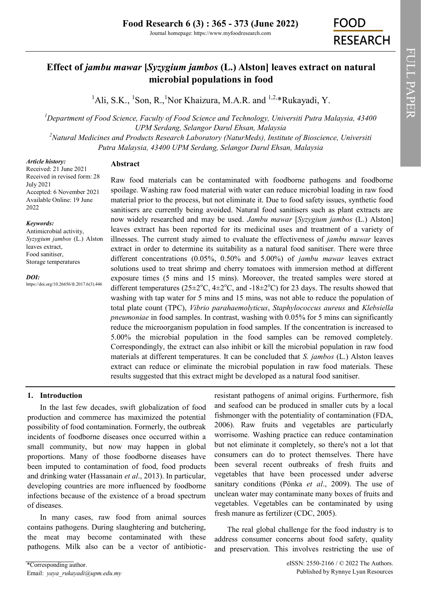# **Effect of** *jambu mawar* **[***Syzygium jambos* **(L.) Alston] leaves extract on natural microbial populations in food**

<sup>1</sup>Ali, S.K., <sup>1</sup>Son, R., <sup>1</sup>Nor Khaizura, M.A.R. and <sup>1,2,\*</sup>Rukayadi, Y.

*<sup>1</sup>Department of Food Science, Faculty of Food Science and Technology, Universiti Putra Malaysia, 43400 UPM Serdang, Selangor Darul Ehsan, Malaysia <sup>2</sup>Natural Medicines and Products Research Laboratory (NaturMeds), Institute of Bioscience, Universiti Putra Malaysia, 43400 UPM Serdang, Selangor Darul Ehsan, Malaysia*

*Article history:*

### **Abstract**

Received: 21 June 2021 Received in revised form: 28 July 2021 Accepted: 6 November 2021 Available Online: 19 June 2022

#### *Keywords:*

Antimicrobial activity, *Syzygium jambos* (L.) Alston leaves extract, Food sanitiser, Storage temperatures

#### *DOI:*

https://doi.org/10.26656/fr.2017.6(3).446

Raw food materials can be contaminated with foodborne pathogens and foodborne spoilage. Washing raw food material with water can reduce microbial loading in raw food material prior to the process, but not eliminate it. Due to food safety issues, synthetic food sanitisers are currently being avoided. Natural food sanitisers such as plant extracts are now widely researched and may be used. *Jambu mawar* [*Syzygium jambos* (L.) Alston] leaves extract has been reported for its medicinal uses and treatment of a variety of illnesses. The current study aimed to evaluate the effectiveness of *jambu mawar* leaves extract in order to determine its suitability as a natural food sanitiser. There were three different concentrations (0.05%, 0.50% and 5.00%) of *jambu mawar* leaves extract solutions used to treat shrimp and cherry tomatoes with immersion method at different exposure times (5 mins and 15 mins). Moreover, the treated samples were stored at different temperatures ( $25\pm2\degree C$ ,  $4\pm2\degree C$ , and  $-18\pm2\degree C$ ) for 23 days. The results showed that washing with tap water for 5 mins and 15 mins, was not able to reduce the population of total plate count (TPC), *Vibrio parahaemolyticus*, *Staphylococcus aureus* and *Klebsiella pneumoniae* in food samples. In contrast, washing with 0.05% for 5 mins can significantly reduce the microorganism population in food samples. If the concentration is increased to 5.00% the microbial population in the food samples can be removed completely. Correspondingly, the extract can also inhibit or kill the microbial population in raw food materials at different temperatures. It can be concluded that *S. jambos* (L.) Alston leaves extract can reduce or eliminate the microbial population in raw food materials. These results suggested that this extract might be developed as a natural food sanitiser.

# **1. Introduction**

In the last few decades, swift globalization of food production and commerce has maximized the potential possibility of food contamination. Formerly, the outbreak incidents of foodborne diseases once occurred within a small community, but now may happen in global proportions. Many of those foodborne diseases have been imputed to contamination of food, food products and drinking water (Hassanain *et al*., 2013). In particular, developing countries are more influenced by foodborne infections because of the existence of a broad spectrum of diseases.

In many cases, raw food from animal sources contains pathogens. During slaughtering and butchering, the meat may become contaminated with these pathogens. Milk also can be a vector of antibioticresistant pathogens of animal origins. Furthermore, fish and seafood can be produced in smaller cuts by a local fishmonger with the potentiality of contamination (FDA, 2006). Raw fruits and vegetables are particularly worrisome. Washing practice can reduce contamination but not eliminate it completely, so there's not a lot that consumers can do to protect themselves. There have been several recent outbreaks of fresh fruits and vegetables that have been processed under adverse sanitary conditions (Pönka *et al*., 2009). The use of unclean water may contaminate many boxes of fruits and vegetables. Vegetables can be contaminated by using fresh manure as fertilizer (CDC, 2005).

The real global challenge for the food industry is to address consumer concerns about food safety, quality and preservation. This involves restricting the use of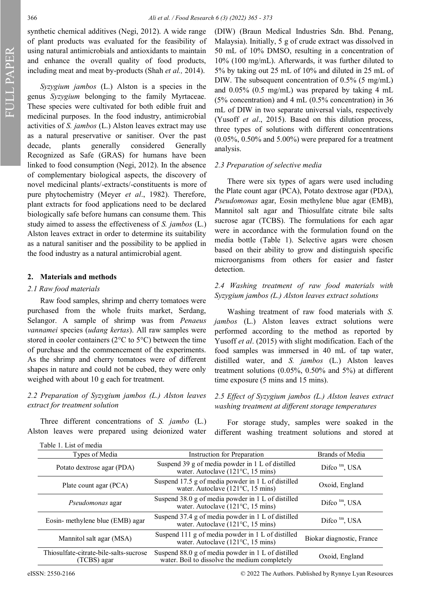FULL PAPER

synthetic chemical additives (Negi, 2012). A wide range of plant products was evaluated for the feasibility of using natural antimicrobials and antioxidants to maintain and enhance the overall quality of food products, including meat and meat by-products (Shah *et al.,* 2014).

*Syzygium jambos* (L.) Alston is a species in the genus *Syzygium* belonging to the family Myrtaceae. These species were cultivated for both edible fruit and medicinal purposes. In the food industry, antimicrobial activities of *S. jambos* (L.) Alston leaves extract may use as a natural preservative or sanitiser. Over the past decade, plants generally considered Generally Recognized as Safe (GRAS) for humans have been linked to food consumption (Negi, 2012). In the absence of complementary biological aspects, the discovery of novel medicinal plants/-extracts/-constituents is more of pure phytochemistry (Meyer *et al*., 1982). Therefore, plant extracts for food applications need to be declared biologically safe before humans can consume them. This study aimed to assess the effectiveness of *S. jambos* (L.) Alston leaves extract in order to determine its suitability as a natural sanitiser and the possibility to be applied in the food industry as a natural antimicrobial agent.

### **2. Materials and methods**

#### *2.1 Raw food materials*

Raw food samples, shrimp and cherry tomatoes were purchased from the whole fruits market, Serdang, Selangor. A sample of shrimp was from *Penaeus vannamei* species (*udang kertas*). All raw samples were stored in cooler containers (2°C to 5°C) between the time of purchase and the commencement of the experiments. As the shrimp and cherry tomatoes were of different shapes in nature and could not be cubed, they were only weighed with about 10 g each for treatment.

### *2.2 Preparation of Syzygium jambos (L.) Alston leaves extract for treatment solution*

Three different concentrations of *S. jambo* (L.) Alston leaves were prepared using deionized water (DIW) (Braun Medical Industries Sdn. Bhd. Penang, Malaysia). Initially, 5 g of crude extract was dissolved in 50 mL of 10% DMSO, resulting in a concentration of 10% (100 mg/mL). Afterwards, it was further diluted to 5% by taking out 25 mL of 10% and diluted in 25 mL of DIW. The subsequent concentration of 0.5% (5 mg/mL) and 0.05% (0.5 mg/mL) was prepared by taking 4 mL (5% concentration) and 4 mL (0.5% concentration) in 36 mL of DIW in two separate universal vials, respectively (Yusoff *et al*., 2015). Based on this dilution process, three types of solutions with different concentrations  $(0.05\%, 0.50\%$  and  $5.00\%)$  were prepared for a treatment analysis.

#### *2.3 Preparation of selective media*

There were six types of agars were used including the Plate count agar (PCA), Potato dextrose agar (PDA), *Pseudomonas* agar, Eosin methylene blue agar (EMB), Mannitol salt agar and Thiosulfate citrate bile salts sucrose agar (TCBS). The formulations for each agar were in accordance with the formulation found on the media bottle (Table 1). Selective agars were chosen based on their ability to grow and distinguish specific microorganisms from others for easier and faster detection.

## *2.4 Washing treatment of raw food materials with Syzygium jambos (L.) Alston leaves extract solutions*

Washing treatment of raw food materials with *S. jambos* (L.) Alston leaves extract solutions were performed according to the method as reported by Yusoff *et al*. (2015) with slight modification. Each of the food samples was immersed in 40 mL of tap water, distilled water, and *S. jambos* (L.) Alston leaves treatment solutions (0.05%, 0.50% and 5%) at different time exposure (5 mins and 15 mins).

### *2.5 Effect of Syzygium jambos (L.) Alston leaves extract washing treatment at different storage temperatures*

For storage study, samples were soaked in the different washing treatment solutions and stored at

| Table 1. List of media                                |                                                                                                     |                           |  |
|-------------------------------------------------------|-----------------------------------------------------------------------------------------------------|---------------------------|--|
| Types of Media                                        | Instruction for Preparation                                                                         | Brands of Media           |  |
| Potato dextrose agar (PDA)                            | Suspend 39 g of media powder in 1 L of distilled<br>water. Autoclave (121°C, 15 mins)               | Difco tm, USA             |  |
| Plate count agar (PCA)                                | Suspend 17.5 g of media powder in 1 L of distilled<br>water. Autoclave (121°C, 15 mins)             | Oxoid, England            |  |
| <i>Pseudomonas</i> agar                               | Suspend 38.0 g of media powder in 1 L of distilled<br>water. Autoclave (121°C, 15 mins)             | Difco $tm$ , USA          |  |
| Eosin- methylene blue (EMB) agar                      | Suspend 37.4 g of media powder in 1 L of distilled<br>water. Autoclave (121°C, 15 mins)             | Difco <sup>tm</sup> , USA |  |
| Mannitol salt agar (MSA)                              | Suspend 111 g of media powder in 1 L of distilled<br>water. Autoclave (121°C, 15 mins)              | Biokar diagnostic, France |  |
| Thiosulfate-citrate-bile-salts-sucrose<br>(TCBS) agar | Suspend 88.0 g of media powder in 1 L of distilled<br>water. Boil to dissolve the medium completely | Oxoid, England            |  |

eISSN: 2550-2166 © 2022 The Authors. Published by Rynnye Lyan Resources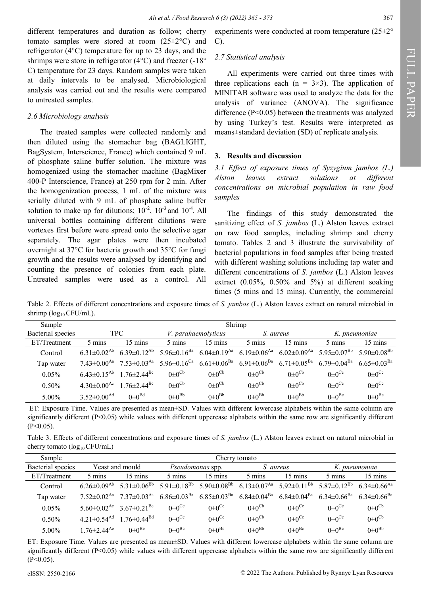different temperatures and duration as follow; cherry tomato samples were stored at room (25±2°C) and refrigerator (4°C) temperature for up to 23 days, and the shrimps were store in refrigerator (4°C) and freezer (-18° C) temperature for 23 days. Random samples were taken at daily intervals to be analysed. Microbiological analysis was carried out and the results were compared to untreated samples.

#### *2.6 Microbiology analysis*

The treated samples were collected randomly and then diluted using the stomacher bag (BAGLIGHT, BagSystem, Interscience, France) which contained 9 mL of phosphate saline buffer solution. The mixture was homogenized using the stomacher machine (BagMixer 400-P Interscience, France) at 250 rpm for 2 min. After the homogenization process, 1 mL of the mixture was serially diluted with 9 mL of phosphate saline buffer solution to make up for dilutions;  $10^{-2}$ ,  $10^{-3}$  and  $10^{-4}$ . All universal bottles containing different dilutions were vortexes first before were spread onto the selective agar separately. The agar plates were then incubated overnight at 37°C for bacteria growth and 35°C for fungi growth and the results were analysed by identifying and counting the presence of colonies from each plate. Untreated samples were used as a control. All

### *2.7 Statistical analysis*

All experiments were carried out three times with three replications each  $(n = 3\times3)$ . The application of MINITAB software was used to analyze the data for the analysis of variance (ANOVA). The significance difference (P<0.05) between the treatments was analyzed by using Turkey's test. Results were interpreted as means±standard deviation (SD) of replicate analysis.

#### **3. Results and discussion**

*3.1 Effect of exposure times of Syzygium jambos (L.) Alston leaves extract solutions at different concentrations on microbial population in raw food samples*

The findings of this study demonstrated the sanitizing effect of *S. jambos* (L.) Alston leaves extract on raw food samples, including shrimp and cherry tomato. Tables 2 and 3 illustrate the survivability of bacterial populations in food samples after being treated with different washing solutions including tap water and different concentrations of *S. jambos* (L.) Alston leaves extract (0.05%, 0.50% and 5%) at different soaking times (5 mins and 15 mins). Currently, the commercial

Table 2. Effects of different concentrations and exposure times of *S. jambos* (L.) Alston leaves extract on natural microbial in shrimp ( $log_{10} CFU/mL$ ).

| Sample            | Shrimp                        |                               |                               |                               |                               |                               |                             |                               |
|-------------------|-------------------------------|-------------------------------|-------------------------------|-------------------------------|-------------------------------|-------------------------------|-----------------------------|-------------------------------|
| Bacterial species | TPC                           |                               | <i>V. parahaemolyticus</i>    |                               | S. aureus                     |                               | K. pneumoniae               |                               |
| ET/Treatment      | 5 mins                        | $15 \text{ mins}$             | 5 mins                        | $15 \text{ mins}$             | 5 mins                        | $15 \text{ mins}$             | 5 mins                      | $15 \text{ mins}$             |
| Control           | $6.31 \pm 0.02^{Ab}$          | 6.39 $\pm$ 0.12 <sup>Ab</sup> | 5.96 $\pm$ 0.16 <sup>Ba</sup> | $6.04 \pm 0.19$ <sup>Aa</sup> | 6.19 $\pm$ 0.06 <sup>Aa</sup> | $6.02 \pm 0.09$ <sup>Aa</sup> | $5.95 \pm 0.07^{Bb}$        | 5.90 $\pm$ 0.08 <sup>Bb</sup> |
| Tap water         | $7.43 \pm 0.00^{Aa}$          | $7.53 \pm 0.03$ <sup>Aa</sup> | 5.96 $\pm$ 0.16 <sup>Ca</sup> | $6.61 \pm 0.06^{\text{Ba}}$   | $6.91 \pm 0.06^\mathrm{Ba}$   | $6.71 \pm 0.05^{\text{Ba}}$   | 6.79 $\pm$ 0.04 $^{\rm Ba}$ | $6.65 \pm 0.03$ <sup>Ba</sup> |
| $0.05\%$          | $6.43 \pm 0.15^{Ab}$          | $1.76 \pm 2.44$ <sup>Bc</sup> | $0 \pm 0$ <sup>Cb</sup>       | $0 \pm 0$ <sup>Cb</sup>       | $0 \pm 0$ <sup>Cb</sup>       | $0 \pm 0$ <sup>Cb</sup>       | $0 \pm 0$ <sup>Cc</sup>     | $0 \pm 0$ <sup>Cc</sup>       |
| $0.50\%$          | 4.30 $\pm$ 0.00 <sup>Ac</sup> | $1.76 \pm 2.44$ <sup>Bc</sup> | $0 \pm 0$ <sup>Cb</sup>       | $0 \pm 0$ <sup>Cb</sup>       | $0 \pm 0$ <sup>Cb</sup>       | $0\pm0$ <sup>Cb</sup>         | $0 \pm 0$ <sup>Cc</sup>     | $0 \pm 0$ <sup>Cc</sup>       |
| 5.00%             | $3.52 \pm 0.00$ <sup>Ad</sup> | $0\pm0^{Bd}$                  | $0\pm0^{Bb}$                  | $0\pm0^{Bb}$                  | $0\pm0^{Bb}$                  | $0\pm0^{Bb}$                  | $0\pm0^{\rm Bc}$            | $0\pm0^{\rm Bc}$              |

ET: Exposure Time. Values are presented as mean±SD. Values with different lowercase alphabets within the same column are significantly different (P<0.05) while values with different uppercase alphabets within the same row are significantly different  $(P<0.05)$ .

Table 3. Effects of different concentrations and exposure times of *S. jambos* (L.) Alston leaves extract on natural microbial in cherry tomato  $(\log_{10} CFU/mL)$ 

| Sample            | Cherry tomato                 |                               |                               |                             |                               |                          |                               |                               |
|-------------------|-------------------------------|-------------------------------|-------------------------------|-----------------------------|-------------------------------|--------------------------|-------------------------------|-------------------------------|
| Bacterial species | Yeast and mould               |                               | <i>Pseudomonas</i> spp.       |                             | S. aureus                     |                          | K. pneumoniae                 |                               |
| ET/Treatment      | 5 mins                        | 15 mins                       | 5 mins                        | 15 mins                     | 5 mins                        | $15 \text{ mins}$        | 5 mins                        | $15 \text{ mins}$             |
| Control           | $6.26 \pm 0.09$ <sup>Ab</sup> | 5.31 $\pm$ 0.06 <sup>Bb</sup> | 5.91 $\pm$ 0.18 <sup>Bb</sup> | $5.90\pm0.08^\mathrm{Bb}$   | $6.13 \pm 0.07$ <sup>Aa</sup> | $5.92 \pm 0.11^{Bb}$     | $5.87 \pm 0.12^{Bb}$          | $6.34 \pm 0.66$ <sup>Aa</sup> |
| Tap water         | $7.52 \pm 0.02$ <sup>Aa</sup> | $7.37 \pm 0.03$ <sup>Aa</sup> | $6.86 \pm 0.03^{\rm Ba}$      | $6.85{\pm}0.03^{\text{Ba}}$ | $6.84 \pm 0.04$ <sup>Ba</sup> | $6.84 \pm 0.04^{\rm Ba}$ | $6.34 \pm 0.66$ <sup>Ba</sup> | $6.34 \pm 0.66$ <sup>Ba</sup> |
| $0.05\%$          | $5.60 \pm 0.02$ <sup>Ac</sup> | $3.67 \pm 0.21$ <sup>Bc</sup> | $0 \pm 0$ <sup>Cc</sup>       | $0 \pm 0$ <sup>Cc</sup>     | $0 \pm 0$ <sup>Cb</sup>       | $0 \pm 0$ <sup>Cc</sup>  | $0 \pm 0$ <sup>Cc</sup>       | $0 \pm 0$ <sup>Cb</sup>       |
| $0.50\%$          | $4.21 \pm 0.54$ <sup>Ad</sup> | $1.76 \pm 0.44$ <sup>Bd</sup> | $0 \pm 0$ <sup>Cc</sup>       | $0 \pm 0$ <sup>Cc</sup>     | $0 \pm 0$ <sup>Cb</sup>       | $0 \pm 0$ <sup>Cc</sup>  | $0 \pm 0$ <sup>Cc</sup>       | $0 \pm 0$ <sup>Cb</sup>       |
| $5.00\%$          | $1.76 \pm 2.44$ <sup>Ae</sup> | $0\pm0^{\text{Be}}$           | $0\pm0^{\rm Bc}$              | $0\pm0^{\rm Bc}$            | $0\pm0^{Bb}$                  | $0\pm0^{\rm Bc}$         | $0 \pm 0^{\text{Be}}$         | $0\pm0^{Bb}$                  |

ET: Exposure Time. Values are presented as mean±SD. Values with different lowercase alphabets within the same column are significantly different (P<0.05) while values with different uppercase alphabets within the same row are significantly different  $(P<0.05)$ .

FULL PAPER

FULL PAPER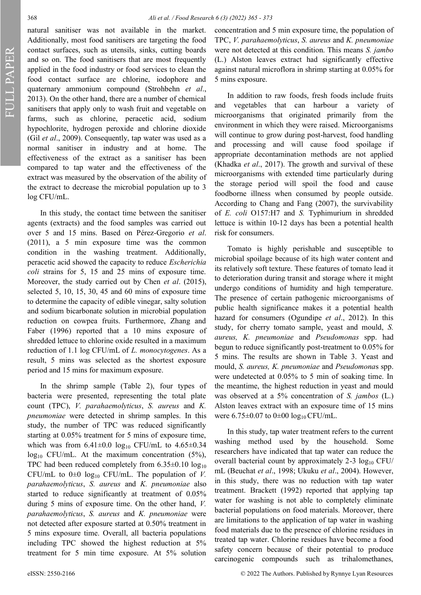FULL PAPER

natural sanitiser was not available in the market. Additionally, most food sanitisers are targeting the food contact surfaces, such as utensils, sinks, cutting boards and so on. The food sanitisers that are most frequently applied in the food industry or food services to clean the food contact surface are chlorine, iodophore and quaternary ammonium compound (Strohbehn *et al*., 2013). On the other hand, there are a number of chemical sanitisers that apply only to wash fruit and vegetable on farms, such as chlorine, peracetic acid, sodium hypochlorite, hydrogen peroxide and chlorine dioxide (Gil *et al*., 2009). Consequently, tap water was used as a normal sanitiser in industry and at home. The effectiveness of the extract as a sanitiser has been compared to tap water and the effectiveness of the extract was measured by the observation of the ability of the extract to decrease the microbial population up to 3 log CFU/mL.

In this study, the contact time between the sanitiser agents (extracts) and the food samples was carried out over 5 and 15 mins. Based on Pérez-Gregorio *et al*. (2011), a 5 min exposure time was the common condition in the washing treatment. Additionally, peracetic acid showed the capacity to reduce *Escherichia coli* strains for 5, 15 and 25 mins of exposure time. Moreover, the study carried out by Chen *et al*. (2015), selected 5, 10, 15, 30, 45 and 60 mins of exposure time to determine the capacity of edible vinegar, salty solution and sodium bicarbonate solution in microbial population reduction on cowpea fruits. Furthermore, Zhang and Faber (1996) reported that a 10 mins exposure of shredded lettuce to chlorine oxide resulted in a maximum reduction of 1.1 log CFU/mL of *L. monocytogenes*. As a result, 5 mins was selected as the shortest exposure period and 15 mins for maximum exposure.

In the shrimp sample (Table 2), four types of bacteria were presented, representing the total plate count (TPC), *V. parahaemolyticus*, *S. aureus* and *K. pneumoniae* were detected in shrimp samples. In this study, the number of TPC was reduced significantly starting at 0.05% treatment for 5 mins of exposure time, which was from  $6.41 \pm 0.0$  log<sub>10</sub> CFU/mL to  $4.65 \pm 0.34$  $log_{10}$  CFU/mL. At the maximum concentration (5%), TPC had been reduced completely from  $6.35\pm0.10 \log_{10}$ CFU/mL to  $0\pm0$  log<sub>10</sub> CFU/mL. The population of *V*. *parahaemolyticus*, *S. aureus* and *K. pneumoniae* also started to reduce significantly at treatment of 0.05% during 5 mins of exposure time. On the other hand, *V. parahaemolyticus*, *S. aureus* and *K. pneumoniae* were not detected after exposure started at 0.50% treatment in 5 mins exposure time. Overall, all bacteria populations including TPC showed the highest reduction at 5% treatment for 5 min time exposure. At 5% solution

concentration and 5 min exposure time, the population of TPC, *V. parahaemolyticus*, *S. aureus* and *K. pneumoniae* were not detected at this condition. This means *S. jambo*  (L.) Alston leaves extract had significantly effective against natural microflora in shrimp starting at 0.05% for 5 mins exposure.

In addition to raw foods, fresh foods include fruits and vegetables that can harbour a variety of microorganisms that originated primarily from the environment in which they were raised. Microorganisms will continue to grow during post-harvest, food handling and processing and will cause food spoilage if appropriate decontamination methods are not applied (Khadka *et al*., 2017). The growth and survival of these microorganisms with extended time particularly during the storage period will spoil the food and cause foodborne illness when consumed by people outside. According to Chang and Fang (2007), the survivability of *E. coli* O157:H7 and *S.* Typhimurium in shredded lettuce is within 10-12 days has been a potential health risk for consumers.

Tomato is highly perishable and susceptible to microbial spoilage because of its high water content and its relatively soft texture. These features of tomato lead it to deterioration during transit and storage where it might undergo conditions of humidity and high temperature. The presence of certain pathogenic microorganisms of public health significance makes it a potential health hazard for consumers (Ogundipe *et al*., 2012). In this study, for cherry tomato sample, yeast and mould, *S. aureus, K. pneumoniae* and *Pseudomonas* spp. had begun to reduce significantly post-treatment to 0.05% for 5 mins. The results are shown in Table 3. Yeast and mould, *S. aureus, K. pneumoniae* and *Pseudomona*s spp. were undetected at 0.05% to 5 min of soaking time. In the meantime, the highest reduction in yeast and mould was observed at a 5% concentration of *S. jambos* (L.) Alston leaves extract with an exposure time of 15 mins were  $6.75\pm0.07$  to  $0\pm00$   $\log_{10}$  CFU/mL.

In this study, tap water treatment refers to the current washing method used by the household. Some researchers have indicated that tap water can reduce the overall bacterial count by approximately  $2-3 \log_{10} CFU/$ mL (Beuchat *et al*., 1998; Ukuku *et al*., 2004). However, in this study, there was no reduction with tap water treatment. Brackett (1992) reported that applying tap water for washing is not able to completely eliminate bacterial populations on food materials. Moreover, there are limitations to the application of tap water in washing food materials due to the presence of chlorine residues in treated tap water. Chlorine residues have become a food safety concern because of their potential to produce carcinogenic compounds such as trihalomethanes,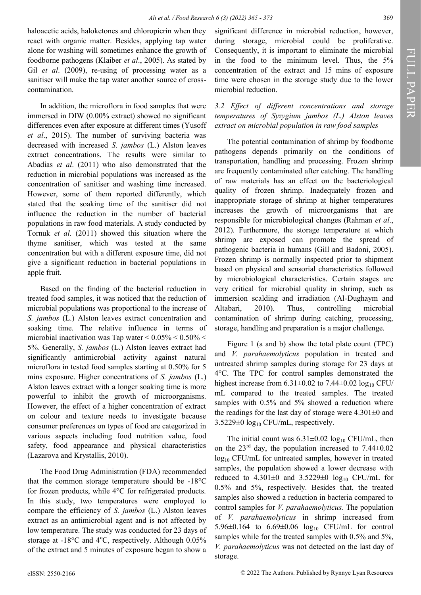haloacetic acids, haloketones and chloropicrin when they react with organic matter. Besides, applying tap water alone for washing will sometimes enhance the growth of foodborne pathogens (Klaiber *et al*., 2005). As stated by Gil *et al*. (2009), re-using of processing water as a sanitiser will make the tap water another source of crosscontamination.

In addition, the microflora in food samples that were immersed in DIW (0.00% extract) showed no significant differences even after exposure at different times (Yusoff *et al*., 2015). The number of surviving bacteria was decreased with increased *S. jambos* (L.) Alston leaves extract concentrations. The results were similar to Abadias *et al*. (2011) who also demonstrated that the reduction in microbial populations was increased as the concentration of sanitiser and washing time increased. However, some of them reported differently, which stated that the soaking time of the sanitiser did not influence the reduction in the number of bacterial populations in raw food materials. A study conducted by Tornuk *et al*. (2011) showed this situation where the thyme sanitiser, which was tested at the same concentration but with a different exposure time, did not give a significant reduction in bacterial populations in apple fruit.

Based on the finding of the bacterial reduction in treated food samples, it was noticed that the reduction of microbial populations was proportional to the increase of *S. jambos* (L.) Alston leaves extract concentration and soaking time. The relative influence in terms of microbial inactivation was Tap water  $\leq 0.05\% \leq 0.50\% \leq 0.50\%$ 5%. Generally, *S. jambos* (L.) Alston leaves extract had significantly antimicrobial activity against natural microflora in tested food samples starting at 0.50% for 5 mins exposure. Higher concentrations of *S. jambos* (L.) Alston leaves extract with a longer soaking time is more powerful to inhibit the growth of microorganisms. However, the effect of a higher concentration of extract on colour and texture needs to investigate because consumer preferences on types of food are categorized in various aspects including food nutrition value, food safety, food appearance and physical characteristics (Lazarova and Krystallis, 2010).

The Food Drug Administration (FDA) recommended that the common storage temperature should be -18°C for frozen products, while 4°C for refrigerated products. In this study, two temperatures were employed to compare the efficiency of *S. jambos* (L.) Alston leaves extract as an antimicrobial agent and is not affected by low temperature. The study was conducted for 23 days of storage at  $-18^{\circ}$ C and  $4^{\circ}$ C, respectively. Although 0.05% of the extract and 5 minutes of exposure began to show a

significant difference in microbial reduction, however, during storage, microbial could be proliferative. Consequently, it is important to eliminate the microbial in the food to the minimum level. Thus, the 5% concentration of the extract and 15 mins of exposure time were chosen in the storage study due to the lower microbial reduction.

*3.2 Effect of different concentrations and storage temperatures of Syzygium jambos (L.) Alston leaves extract on microbial population in raw food samples*

The potential contamination of shrimp by foodborne pathogens depends primarily on the conditions of transportation, handling and processing. Frozen shrimp are frequently contaminated after catching. The handling of raw materials has an effect on the bacteriological quality of frozen shrimp. Inadequately frozen and inappropriate storage of shrimp at higher temperatures increases the growth of microorganisms that are responsible for microbiological changes (Rahman *et al*., 2012). Furthermore, the storage temperature at which shrimp are exposed can promote the spread of pathogenic bacteria in humans (Gill and Badoni, 2005). Frozen shrimp is normally inspected prior to shipment based on physical and sensorial characteristics followed by microbiological characteristics. Certain stages are very critical for microbial quality in shrimp, such as immersion scalding and irradiation (Al-Dughaym and Altabari, 2010). Thus, controlling microbial contamination of shrimp during catching, processing, storage, handling and preparation is a major challenge.

Figure 1 (a and b) show the total plate count (TPC) and *V. parahaemolyticus* population in treated and untreated shrimp samples during storage for 23 days at 4°C. The TPC for control samples demonstrated the highest increase from  $6.31\pm0.02$  to  $7.44\pm0.02$  log<sub>10</sub> CFU/ mL compared to the treated samples. The treated samples with 0.5% and 5% showed a reduction where the readings for the last day of storage were  $4.301\pm0$  and  $3.5229\pm0$  log<sub>10</sub> CFU/mL, respectively.

The initial count was  $6.31\pm0.02 \log_{10} CFU/mL$ , then on the  $23<sup>rd</sup>$  day, the population increased to 7.44 $\pm$ 0.02 log<sub>10</sub> CFU/mL for untreated samples, however in treated samples, the population showed a lower decrease with reduced to 4.301 $\pm$ 0 and 3.5229 $\pm$ 0 log<sub>10</sub> CFU/mL for 0.5% and 5%, respectively. Besides that, the treated samples also showed a reduction in bacteria compared to control samples for *V. parahaemolyticus.* The population of *V. parahaemolyticus* in shrimp increased from 5.96 $\pm$ 0.164 to 6.69 $\pm$ 0.06 log<sub>10</sub> CFU/mL for control samples while for the treated samples with 0.5% and 5%, *V. parahaemolyticus* was not detected on the last day of storage.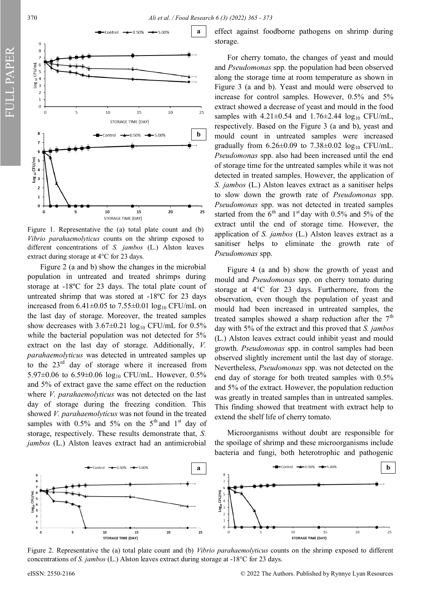370 *Ali et al. / Food Research 6 (3) (2022) 365 - 373*



Figure 1. Representative the (a) total plate count and (b) *Vibrio parahaemolyticus* counts on the shrimp exposed to different concentrations of *S. jambos* (L.) Alston leaves extract during storage at 4°C for 23 days.

Figure 2 (a and b) show the changes in the microbial population in untreated and treated shrimps during storage at -18ºC for 23 days. The total plate count of untreated shrimp that was stored at -18ºC for 23 days increased from  $6.41\pm0.05$  to  $7.55\pm0.01$  log<sub>10</sub> CFU/mL on the last day of storage. Moreover, the treated samples show decreases with  $3.67 \pm 0.21$  log<sub>10</sub> CFU/mL for 0.5% while the bacterial population was not detected for 5% extract on the last day of storage. Additionally, *V. parahaemolyticus* was detected in untreated samples up to the  $23<sup>rd</sup>$  day of storage where it increased from 5.97 $\pm$ 0.06 to 6.59 $\pm$ 0.06 log<sub>10</sub> CFU/mL. However, 0.5% and 5% of extract gave the same effect on the reduction where *V. parahaemolyticus* was not detected on the last day of storage during the freezing condition. This showed *V. parahaemolyticus* was not found in the treated samples with 0.5% and 5% on the  $5<sup>th</sup>$  and  $1<sup>st</sup>$  day of storage, respectively. These results demonstrate that, *S. jambos* (L.) Alston leaves extract had an antimicrobial

effect against foodborne pathogens on shrimp during storage.

For cherry tomato, the changes of yeast and mould and *Pseudomonas* spp. the population had been observed along the storage time at room temperature as shown in Figure 3 (a and b). Yeast and mould were observed to increase for control samples. However, 0.5% and 5% extract showed a decrease of yeast and mould in the food samples with  $4.21 \pm 0.54$  and  $1.76 \pm 2.44$  log<sub>10</sub> CFU/mL, respectively. Based on the Figure 3 (a and b), yeast and mould count in untreated samples were increased gradually from  $6.26 \pm 0.09$  to  $7.38 \pm 0.02$  log<sub>10</sub> CFU/mL. *Pseudomonas* spp. also had been increased until the end of storage time for the untreated samples while it was not detected in treated samples. However, the application of *S. jambos* (L.) Alston leaves extract as a sanitiser helps to slow down the growth rate of *Pseudomonas* spp. *Pseudomonas* spp. was not detected in treated samples started from the  $6<sup>th</sup>$  and 1<sup>st</sup> day with 0.5% and 5% of the extract until the end of storage time. However, the application of *S. jambos* (L.) Alston leaves extract as a sanitiser helps to eliminate the growth rate of *Pseudomonas* spp.

Figure 4 (a and b) show the growth of yeast and mould and *Pseudomonas* spp. on cherry tomato during storage at 4°C for 23 days. Furthermore, from the observation, even though the population of yeast and mould had been increased in untreated samples, the treated samples showed a sharp reduction after the  $7<sup>th</sup>$ day with 5% of the extract and this proved that *S. jambos*  (L.) Alston leaves extract could inhibit yeast and mould growth. *Pseudomonas* spp. in control samples had been observed slightly increment until the last day of storage. Nevertheless, *Pseudomonas* spp. was not detected on the end day of storage for both treated samples with 0.5% and 5% of the extract. However, the population reduction was greatly in treated samples than in untreated samples. This finding showed that treatment with extract help to extend the shelf life of cherry tomato.

Microorganisms without doubt are responsible for the spoilage of shrimp and these microorganisms include bacteria and fungi, both heterotrophic and pathogenic



Figure 2. Representative the (a) total plate count and (b) *Vibrio parahaemolyticus* counts on the shrimp exposed to different concentrations of *S. jambos* (L.) Alston leaves extract during storage at -18°C for 23 days.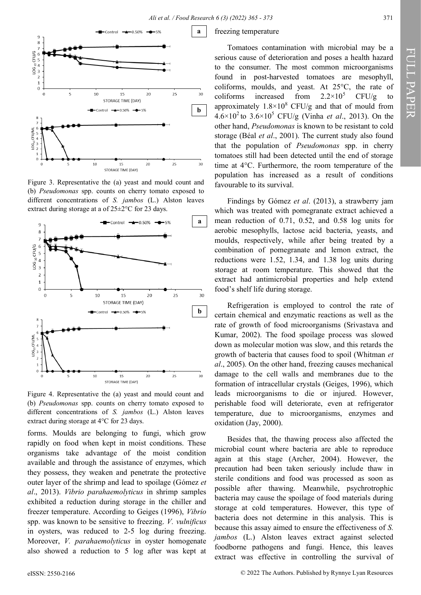

Figure 3. Representative the (a) yeast and mould count and (b) *Pseudomonas* spp. counts on cherry tomato exposed to different concentrations of *S. jambos* (L.) Alston leaves extract during storage at a of 25±2°C for 23 days.



Figure 4. Representative the (a) yeast and mould count and (b) *Pseudomonas* spp. counts on cherry tomato exposed to different concentrations of *S. jambos* (L.) Alston leaves extract during storage at 4°C for 23 days.

forms. Moulds are belonging to fungi, which grow rapidly on food when kept in moist conditions. These organisms take advantage of the moist condition available and through the assistance of enzymes, which they possess, they weaken and penetrate the protective outer layer of the shrimp and lead to spoilage (Gómez *et al*., 2013). *Vibrio parahaemolyticus* in shrimp samples exhibited a reduction during storage in the chiller and freezer temperature. According to Geiges (1996), *Vibrio* spp. was known to be sensitive to freezing. *V. vulnificus* in oysters, was reduced to 2-5 log during freezing. Moreover, *V. parahaemolyticus* in oyster homogenate also showed a reduction to 5 log after was kept at

### freezing temperature

Tomatoes contamination with microbial may be a serious cause of deterioration and poses a health hazard to the consumer. The most common microorganisms found in post-harvested tomatoes are mesophyll, coliforms, moulds, and yeast. At 25°C, the rate of coliforms increased from  $2.2 \times 10^5$  CFU/g to approximately  $1.8 \times 10^8$  CFU/g and that of mould from  $4.6 \times 10^{2}$  to  $3.6 \times 10^{5}$  CFU/g (Vinha *et al.*, 2013). On the other hand, *Pseudomonas* is known to be resistant to cold storage (Béal *et al*., 2001). The current study also found that the population of *Pseudomonas* spp. in cherry tomatoes still had been detected until the end of storage time at 4°C. Furthermore, the room temperature of the population has increased as a result of conditions favourable to its survival.

Findings by Gómez *et al*. (2013), a strawberry jam which was treated with pomegranate extract achieved a mean reduction of 0.71, 0.52, and 0.58 log units for aerobic mesophylls, lactose acid bacteria, yeasts, and moulds, respectively, while after being treated by a combination of pomegranate and lemon extract, the reductions were 1.52, 1.34, and 1.38 log units during storage at room temperature. This showed that the extract had antimicrobial properties and help extend food's shelf life during storage.

Refrigeration is employed to control the rate of certain chemical and enzymatic reactions as well as the rate of growth of food microorganisms (Srivastava and Kumar, 2002). The food spoilage process was slowed down as molecular motion was slow, and this retards the growth of bacteria that causes food to spoil (Whitman *et al*., 2005). On the other hand, freezing causes mechanical damage to the cell walls and membranes due to the formation of intracellular crystals (Geiges, 1996), which leads microorganisms to die or injured. However, perishable food will deteriorate, even at refrigerator temperature, due to microorganisms, enzymes and oxidation (Jay, 2000).

Besides that, the thawing process also affected the microbial count where bacteria are able to reproduce again at this stage (Archer, 2004). However, the precaution had been taken seriously include thaw in sterile conditions and food was processed as soon as possible after thawing. Meanwhile, psychrotrophic bacteria may cause the spoilage of food materials during storage at cold temperatures. However, this type of bacteria does not determine in this analysis. This is because this assay aimed to ensure the effectiveness of *S. jambos* (L.) Alston leaves extract against selected foodborne pathogens and fungi. Hence, this leaves extract was effective in controlling the survival of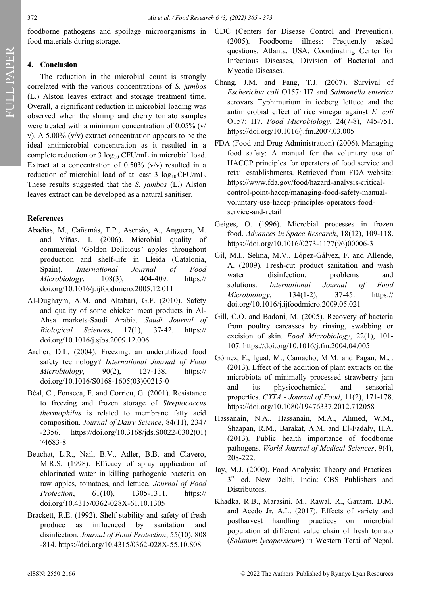food materials during storage.

# **4. Conclusion**

The reduction in the microbial count is strongly correlated with the various concentrations of *S. jambos* (L.) Alston leaves extract and storage treatment time. Overall, a significant reduction in microbial loading was observed when the shrimp and cherry tomato samples were treated with a minimum concentration of 0.05% (v/ v). A 5.00% (v/v) extract concentration appears to be the ideal antimicrobial concentration as it resulted in a complete reduction or 3  $log_{10}$  CFU/mL in microbial load. Extract at a concentration of  $0.50\%$  (v/v) resulted in a reduction of microbial load of at least 3  $log_{10}$  CFU/mL. These results suggested that the *S. jambos* (L.) Alston leaves extract can be developed as a natural sanitiser.

## **References**

- Abadias, M., Cañamás, T.P., Asensio, A., Anguera, M. and Viñas, I. (2006). Microbial quality of commercial 'Golden Delicious' apples throughout production and shelf-life in Lleida (Catalonia, Spain). *International Journal of Food Microbiology*, 108(3), 404-409. https:// doi.org/10.1016/j.ijfoodmicro.2005.12.011
- Al-Dughaym, A.M. and Altabari, G.F. (2010). Safety and quality of some chicken meat products in Al-Ahsa markets-Saudi Arabia. *Saudi Journal of Biological Sciences*, 17(1), 37-42. https:// doi.org/10.1016/j.sjbs.2009.12.006
- Archer, D.L. (2004). Freezing: an underutilized food safety technology? *International Journal of Food Microbiology*, 90(2), 127-138. https:// doi.org/10.1016/S0168-1605(03)00215-0
- Béal, C., Fonseca, F. and Corrieu, G. (2001). Resistance to freezing and frozen storage of *Streptococcus thermophilus* is related to membrane fatty acid composition. *Journal of Dairy Science*, 84(11), 2347 -2356. https://doi.org/10.3168/jds.S0022-0302(01) 74683-8
- Beuchat, L.R., Nail, B.V., Adler, B.B. and Clavero, M.R.S. (1998). Efficacy of spray application of chlorinated water in killing pathogenic bacteria on raw apples, tomatoes, and lettuce. *Journal of Food Protection*, 61(10), 1305-1311. https:// doi.org/10.4315/0362-028X-61.10.1305
- Brackett, R.E. (1992). Shelf stability and safety of fresh produce as influenced by sanitation and disinfection. *Journal of Food Protection*, 55(10), 808 -814. https://doi.org/10.4315/0362-028X-55.10.808
- foodborne pathogens and spoilage microorganisms in CDC (Centers for Disease Control and Prevention). (2005). Foodborne illness: Frequently asked questions. Atlanta, USA: Coordinating Center for Infectious Diseases, Division of Bacterial and Mycotic Diseases.
	- Chang, J.M. and Fang, T.J. (2007). Survival of *Escherichia coli* O157: H7 and *Salmonella enterica* serovars Typhimurium in iceberg lettuce and the antimicrobial effect of rice vinegar against *E. coli* O157: H7. *Food Microbiology*, 24(7-8), 745-751. https://doi.org/10.1016/j.fm.2007.03.005
	- FDA (Food and Drug Administration) (2006). Managing food safety: A manual for the voluntary use of HACCP principles for operators of food service and retail establishments. Retrieved from FDA website: https://www.fda.gov/food/hazard-analysis-criticalcontrol-point-haccp/managing-food-safety-manualvoluntary-use-haccp-principles-operators-foodservice-and-retail
	- Geiges, O. (1996). Microbial processes in frozen food. *Advances in Space Research*, 18(12), 109-118. https://doi.org/10.1016/0273-1177(96)00006-3
	- Gil, M.I., Selma, M.V., López-Gálvez, F. and Allende, A. (2009). Fresh-cut product sanitation and wash water disinfection: problems and solutions. *International Journal of Food Microbiology*, 134(1-2), 37-45. https:// doi.org/10.1016/j.ijfoodmicro.2009.05.021
	- Gill, C.O. and Badoni, M. (2005). Recovery of bacteria from poultry carcasses by rinsing, swabbing or excision of skin. *Food Microbiology*, 22(1), 101- 107. https://doi.org/10.1016/j.fm.2004.04.005
	- Gómez, F., Igual, M., Camacho, M.M. and Pagan, M.J. (2013). Effect of the addition of plant extracts on the microbiota of minimally processed strawberry jam and its physicochemical and sensorial properties. *CYTA - Journal of Food*, 11(2), 171-178. https://doi.org/10.1080/19476337.2012.712058
	- Hassanain, N.A., Hassanain, M.A., Ahmed, W.M., Shaapan, R.M., Barakat, A.M. and El-Fadaly, H.A. (2013). Public health importance of foodborne pathogens. *World Journal of Medical Sciences*, 9(4), 208-222.
	- Jay, M.J. (2000). Food Analysis: Theory and Practices*.*  3<sup>rd</sup> ed. New Delhi, India: CBS Publishers and Distributors.
	- Khadka, R.B., Marasini, M., Rawal, R., Gautam, D.M. and Acedo Jr, A.L. (2017). Effects of variety and postharvest handling practices on microbial population at different value chain of fresh tomato (*Solanum lycopersicum*) in Western Terai of Nepal.